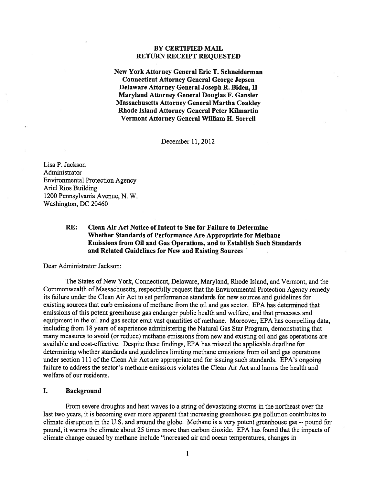## BY CERTIFIED MAIL RETURN RECEIPT REQUESTED

New York Attorney General Eric T. Schneiderman Connecticut Attorney General George Jepsen Delaware Attorney General Joseph R. Biden, II Maryland Attorney General Douglas F. Gansler Massachusetts Attorney General Martha Coakley Rhode Island Attorney General Peter Kilmartin Vermont Attorney General William H. Sorrell

December 11,2012

Lisa P. Jackson Administrator Environmental Protection Agency Ariel Rios Building 1200 Pennsylvania Avenue, N. W. Washington, DC 20460

# RE: Clean Air Act Notice of Intent to Sue for Failure to Determine Whether Standards of Performance Are Appropriate for Methane Emissions from Oil and Gas Operations, and to Establish Such Standards and Related Guidelines for New and Existing Sources

Dear Administrator Jackson:

The States of New York, Connecticut, Delaware, Maryland, Rhode Island, and Vermont, and the Commonwealth of Massachusetts, respectfully reques<sup>t</sup> that the Environmental Protection Agency remedy its failure under the Clean Air Act to set performance standards for new sources and guidelines for existing sources that curb emissions of methane from the oil and gas sector. EPA has determined that emissions of this potent greenhouse gas endanger public health and welfare, and that processes and equipment in the oil and gas sector emit vast quantities of methane. Moreover, EPA has compelling data, including from 18 years of experience administering the Natural Gas Star Program, demonstrating that many measures to avoid (or reduce) methane emissions from new and existing oil and gas operations are available and cost-effective. Despite these findings, EPA has missed the applicable deadline for determining whether standards and guidelines limiting methane emissions from oil and gas operations under section 111 of the Clean Air Act are appropriate and for issuing such standards, EPA's ongoing failure to address the sector's methane emissions violates the Clean Air Act and harms the health and welfare of our residents.

#### I. Background

From severe droughts and heat waves to <sup>a</sup> string of devastating storms in the northeast over the last two years, it is becoming ever more apparen<sup>t</sup> that increasing greenhouse gas pollution contributes to climate disruption in the U.S. and around the globe. Methane is a very potent greenhouse gas -- pound for pound, it warms the climate about 25 times more than carbon dioxide. EPA has found that the impacts of climate change caused by methane include "increased air and ocean temperatures, changes in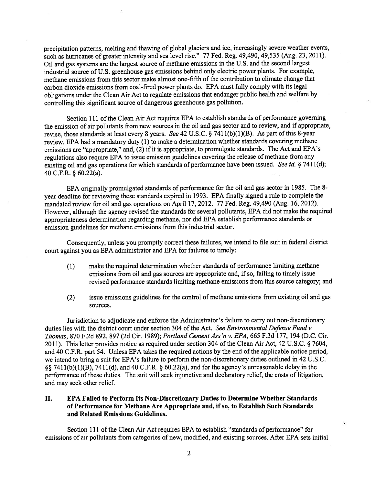precipitation patterns, melting and thawing of <sup>g</sup>lobal <sup>g</sup>laciers and ice, increasingly severe weather events, such as hurricanes of greater intensity and sea level rise." 77 Fed. Reg. 49,490, 49,535 (Aug. 23, 2011). Oil and gas systems are the largest source of methane emissions in the U.S. and the second largest industrial source of U.S. greenhouse gas emissions behind only electric power <sup>p</sup>lants. For example, methane emissions from this sector make almost one-fifth of the contribution to climate change that carbon dioxide emissions from coal-fired power <sup>p</sup>lants do. EPA must fully comply with its legal obligations under the Clean Air Act to regulate emissions that endanger public health and welfare by controlling this significant source of dangerous greenhouse gas pollution.

Section <sup>111</sup> of the Clean Air Act requires EPA to establish standards of performance governing the emission of air pollutants from new sources in the oil and gas sector and to review, and if appropriate, revise, those standards at least every <sup>8</sup> years. See <sup>42</sup> U.S.C. § <sup>741</sup> 1(b)(1)(B). As par<sup>t</sup> of this 8-year review, EPA had <sup>a</sup> mandatory duty (1) to make <sup>a</sup> determination whether standards covering methane emissions are "appropriate," and, (2) if it is appropriate, to promulgate standards. The Act and EPA's regulations also require EPA to issue emission guidelines covering the release of methane from any existing oil and gas operations for which standards of performance have been issued. See id. § 7411(d); <sup>40</sup> C.F.R. § 60.22(a).

EPA originally promulgated standards of performance for the oil and gas sector in 1985. The 8 year deadline for reviewing these standards expired in 1993. EPA finally signed <sup>a</sup> rule to complete the mandated review for oil and gas operations on April 17, 2012. <sup>77</sup> Fed. Reg. 49,490 (Aug. 16, 2012). However, although the agency revised the standards for several pollutants, EPA did not make the required appropriateness determination regarding methane, nor did EPA establish performance standards or emission guidelines for methane emissions from this industrial sector.

Consequently, unless you promptly correct these failures, we intend to file suit in federal district court against you as EPA administrator and EPA for failures to timely:

- (1) make the required determination whether standards of performance limiting methane emissions from oil and gas sources are appropriate and, if so, failing to timely issue revised performance standards limiting methane emissions from this source category; and
- (2) issue emissions guidelines for the control of methane emissions from existing oil and gas sources.

Jurisdiction to adjudicate and enforce the Administrator's failure to carry out non-discretionary duties lies with the district court under section 304 of the Act. See Environmental Defense Fund v. Thomas, 870 F.2d 892, 897 (2d Cir. 1989); Portland Cement Ass'n v. EPA, 665 F.3d 177, 194 (D.C. Cir. 2011). This letter provides notice as required under section <sup>304</sup> of the Clean Air Act, <sup>42</sup> U.S.C. § 7604, and 40 C.F.R. par<sup>t</sup> 54. Unless EPA takes the required actions by the end of the applicable notice period, we intend to bring <sup>a</sup> suit for EPA's failure to perform the non-discretionary duties outlined in 42 U.S.C. § <sup>741</sup> 1(b)(1)(B), 7411(d), and <sup>40</sup> C.F.R. § 60.22(a), and for the agency's unreasonable delay in the performance of these duties. The suit will seek injunctive and declaratory relief, the costs of litigation, and may seek other relief.

# II. EPA Failed to Perform Its Non-Discretionary Duties to Determine Whether Standards of Performance for Methane Are Appropriate and, if so, to Establish Such Standards and Related Emissions Guidelines.

Section 111 of the Clean Air Act requires EPA to establish "standards of performance" for emissions of air pollutants from categories of new, modified, and existing sources. After EPA sets initial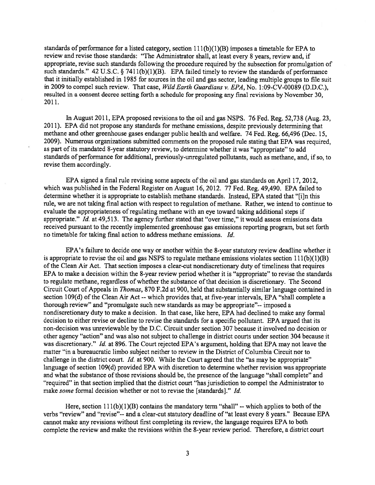standards of performance for a listed category, section  $111(b)(1)(B)$  imposes a timetable for EPA to review and revise those standards: "The Administrator shall, at least every <sup>8</sup> years, review and, if appropriate, revise such standards following the procedure required by the subsection for promulgation of such standards." 42 U.S.C. § 7411(b)(1)(B). EPA failed timely to review the standards of performance that it initially established in <sup>1985</sup> for sources in the oil and gas sector, leading multiple groups to file suit in 2009 to compel such review. That case, Wild Earth Guardians v. EPA, No. 1:09-CV-00089 (D.D.C.), resulted in <sup>a</sup> consent decree setting forth <sup>a</sup> schedule for proposing any final revisions by November 30, 2011.

In August 2011, EPA proposed revisions to the oil and gas NSPS. <sup>76</sup> Fed. Reg. 52,738 (Aug. 23, 2011). EPA did not propose any standards for methane emissions, despite previously determining that methane and other greenhouse gases endanger public health and welfare. <sup>74</sup> Fed. Reg. 66,496 (Dec. 15, 2009). Numerous organizations submitted comments on the propose<sup>d</sup> rule stating that EPA was required, as par<sup>t</sup> of its mandated 8-year statutory review, to determine whether it was "appropriate" to add standards of performance for additional, previously-unregulated pollutants, such as methane, and, if so, to revise them accordingly.

EPA signed <sup>a</sup> final rule revising some aspects of the oil and gas standards on April 17, 2012, which was published in the Federal Register on August 16, 2012. <sup>77</sup> Fed. Reg. 49,490. EPA failed to determine whether it is appropriate to establish methane standards. Instead, EPA stated that "[i]n this rule, we are not taking final action with respec<sup>t</sup> to regulation of methane. Rather, we intend to continue to evaluate the appropriateness ofregulating methane with an eye toward taking additional steps if appropriate." Id. at 49,513. The agency further stated that "over time," it would assess emissions data received pursuan<sup>t</sup> to the recently implemented greenhouse gas emissions reporting program, but set forth no timetable for taking final action to address methane emissions. Id.

EPA's failure to decide one way or another within the 8-year statutory review deadline whether it is appropriate to revise the oil and gas NSPS to regulate methane emissions violates section  $111(b)(1)(B)$ of the Clean Air Act. That section imposes <sup>a</sup> clear-cut nondiscretionary duty of timeliness that requires EPA to make <sup>a</sup> decision within the 8-year review period whether it is "appropriate" to revise the standards to regulate methane, regardless of whether the substance of that decision is discretionary. The Second Circuit Court of Appeals in Thomas, 870 F.2d at 900, held that substantially similar language contained in section 109(d) of the Clean Air Act -- which provides that, at five-year intervals, EPA "shall complete a thorough review" and "promulgate such new standards as may be appropriate"-- imposed <sup>a</sup> nondiscretionary duty to make <sup>a</sup> decision. In that case, like here, EPA had declined to make any formal decision to either revise or decline to revise the standards for <sup>a</sup> specific pollutant. EPA argued that its non-decision was unreviewable by the D.C. Circuit under section 307 because it involved no decision or other agency "action" and was also not subject to challenge in district courts under section 304 because it was discretionary." Id. at 896. The Court rejected EPA's argument, holding that EPA may not leave the matter "in <sup>a</sup> bureaucratic limbo subject neither to review in the District of Columbia Circuit nor to challenge in the district court. Id. at 900. While the Court agreed that the "as may be appropriate" language of section 109(d) provided EPA with discretion to determine whether revision was appropriate and what the substance of those revisions should be, the presence of the language "shall complete" and "required" in that section implied that the district court "has jurisdiction to compel the Administrator to make some formal decision whether or not to revise the [standards]." Id.

Here, section  $111(b)(1)(B)$  contains the mandatory term "shall" -- which applies to both of the verbs "review" and "revise"-- and <sup>a</sup> clear-cut statutory deadline of"at least every 8 years." Because EPA cannot make any revisions without first completing its review, the language requires EPA to both complete the review and make the revisions within the 8-year review period. Therefore, <sup>a</sup> district court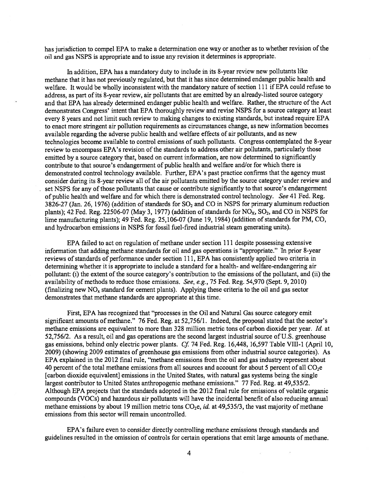has jurisdiction to compel EPA to make a determination one way or another as to whether revision of the oil and gas NSPS is appropriate and to issue any revision it determines is appropriate.

In addition, EPA has <sup>a</sup> mandatory duty to include in its 8-year review new pollutants like methane that it has not previously regulated, but that it has since determined endanger public health and welfare. It would be wholly inconsistent with the mandatory nature of section <sup>111</sup> if EPA could refuse to address, as par<sup>t</sup> of its 8-year review, air pollutants that are emitted by an already-listed source category and that EPA has already determined endanger public health and welfare. Rather, the structure of the Act demonstrates Congress' intent that EPA thoroughly review and revise NSPS for <sup>a</sup> source category at least every 8 years and not limit such review to making changes to existing standards, but instead require EPA to enact more stringent air pollution requirements as circumstances change, as new information becomes available regarding the adverse public health and welfare effects of air pollutants, and as new technologies become available to control emissions of such pollutants. Congress contemplated the 8-year review to encompass EPA's revision of the standards to address other air pollutants, particularly those emitted by <sup>a</sup> source category that, based on current information, are now determined to significantly contribute to that source's endangerment of public health and welfare and/or for which there is demonstrated control technology available. Further, EPA's pas<sup>t</sup> practice confirms that the agency must consider during its 8-year review all of the air pollutants emitted by the source category under review and set NSPS for any of those pollutants that cause or contribute significantly to that source's endangerment of public health and welfare and for which there is demonstrated control technology. See 41 Fed. Reg. 3826-27 (Jan. 26, 1976) (addition of standards for  $SO<sub>2</sub>$  and CO in NSPS for primary aluminum reduction plants); 42 Fed. Reg. 22506-07 (May 3, 1977) (addition of standards for  $NO<sub>X</sub>$ ,  $SO<sub>2</sub>$ , and CO in NSPS for lime manufacturing <sup>p</sup>lants); 49 Fed. Reg. 25,106-07 (June 19, 1984) (addition of standards for PM, CO, and hydrocarbon emissions in NSPS for fossil fuel-fired industrial steam generating units).

EPA failed to act on regulation of methane under section 111 despite possessing extensive information that adding methane standards for oil and gas operations is "appropriate." In prior 8-year reviews of standards of performance under section 111, EPA has consistently applied two criteria in determining whether it is appropriate to include <sup>a</sup> standard for <sup>a</sup> health- and welfare-endangering air pollutant: (i) the extent of the source category's contribution to the emissions of the pollutant, and (ii) the availability of methods to reduce those emissions. See, e.g., 75 Fed. Reg. 54,970 (Sept. 9, 2010) (finalizing new  $NO<sub>x</sub>$  standard for cement plants). Applying these criteria to the oil and gas sector demonstrates that methane standards are appropriate at this time.

First, EPA has recognized that "processes in the Oil and Natural Gas source category emit significant amounts of methane." 76 Fed. Reg. at 52,756/1. Indeed, the proposal stated that the sector's methane emissions are equivalent to more than 328 million metric tons of carbon dioxide per year. Id. at 52,756/2. As <sup>a</sup> result, oil and gas operations are the second largest industrial source of U.S. greenhouse gas emissions, behind only electric power plants. Cf. 74 Fed. Reg.  $16,448, 16,597$  Table VIII-1 (April 10, 2009) (showing 2009 estimates of greenhouse gas emissions from other industrial source categories). As EPA explained in the 2012 final rule, "methane emissions from the oil and gas industry represen<sup>t</sup> about 40 percent of the total methane emissions from all sources and account for about 5 percent of all  $CO<sub>2</sub>e$ [carbon dioxide equivalent] emissions in the United States, with natural gas systems being the single largest contributor to United States anthropogenic methane emissions." 77 Fed. Reg. at 49,535/2. Although EPA projects that the standards adopted in the 2012 final rule for emissions of volatile organic compounds (VOCs) and hazardous air pollutants will have the incidental benefit of also reducing annual methane emissions by about 19 million metric tons  $CO<sub>2</sub>e$ , id. at 49,535/3, the vast majority of methane emissions from this sector will remain uncontrolled.

EPA's failure even to consider directly controlling methane emissions through standards and guidelines resulted in the omission of controls for certain operations that emit large amounts of methane.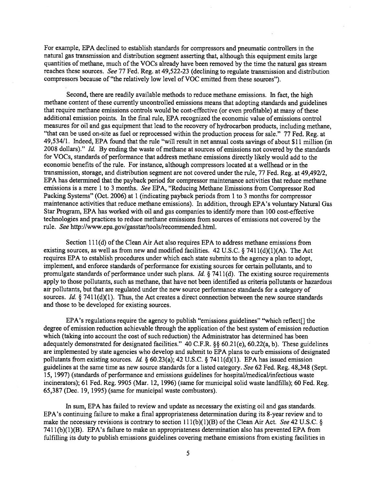For example, EPA declined to establish standards for compressors and pneumatic controllers in the natural gas transmission and distribution segmen<sup>t</sup> asserting that, although this equipment emits large quantities of methane, much of the VOCs already have been removed by the time the natural gas stream reaches these sources. See <sup>77</sup> Fed. Reg. at 49,522-23 (declining to regulate transmission and distribution compressors because of "the relatively low level of VOC emitted from these sources").

Second, there are readily available methods to reduce methane emissions. In fact, the high methane content of these currently uncontrolled emissions means that adopting standards and guidelines that require methane emissions controls would be cost-effective (or even profitable) at many of these additional emission points. In the final rule, EPA recognized the economic value of emissions control measures for oil and gas equipment that lead to the recovery of hydrocarbon products, including methane, "that can be used on-site as fuel or reprocesse<sup>d</sup> within the production process for sale." <sup>77</sup> Fed. Reg. at 49,534/1. Indeed, EPA found that the rule "will result in net annual costs savings of about \$11 million (in 2008 dollars)." Id. By ending the waste of methane at sources of emissions not covered by the standards for VOCs, standards of performance that address methane emissions directly likely would add to the economic benefits of the rule. For instance, although compressors located at a wellhead or in the transmission, storage, and distribution segmen<sup>t</sup> are not covered under the rule, <sup>77</sup> Fed. Reg. at 49,492/2, EPA has determined that the payback period for compressor maintenance activities that reduce methane emissions is <sup>a</sup> mere <sup>1</sup> to 3 months. See EPA, "Reducing Methane Emissions from Compressor Rod Packing Systems" (Oct. 2006) at <sup>1</sup> (indicating payback periods from <sup>1</sup> to 3 months for compressor maintenance activities that reduce methane emissions). In addition, through EPA's voluntary Natural Gas Star Program, EPA has worked with oil and gas companies to identify more than 100 cost-effective technologies and practices to reduce methane emissions from sources of emissions not covered by the rule. See http://www.epa.gov/gasstar/tools/recommended.html.

Section 111(d) of the Clean Air Act also requires EPA to address methane emissions from existing sources, as well as from new and modified facilities. 42 U.S.C.  $\S$  7411(d)(1)(A). The Act requires EPA to establish procedures under which each state submits to the agency <sup>a</sup> plan to adopt, implement, and enforce standards of performance for existing sources for certain pollutants, and to promulgate standards of performance under such plans. *Id.*  $\frac{8}{7411}$ (d). The existing source requirements apply to those pollutants, such as methane, that have not been identified as criteria pollutants or hazardous air pollutants, but that are regulated under the new source performance standards for <sup>a</sup> category of sources. Id.  $\S$  7411(d)(1). Thus, the Act creates a direct connection between the new source standards and those to be developed for existing sources.

EPA's regulations require the agency to publish "emissions guidelines" "which reflect[] the degree of emission reduction achievable through the application of the best system of emission reduction which (taking into account the cost of such reduction) the Administrator has determined has been adequately demonstrated for designated facilities." 40 C.F.R.  $\S$ § 60.21(e), 60.22(a, b). These guidelines are implemented by state agencies who develop and submit to EPA plans to curb emissions of designated pollutants from existing sources. Id. § 60.23(a); 42 U.S.C. § 7411(d)(1). EPA has issued emission guidelines at the same time as new source standards for <sup>a</sup> listed category. See 62 Fed. Reg. 48,348 (Sept. 15, 1997) (standards of performance and emissions guidelines for hospital/medical/infectious waste incinerators); 61 Fed. Reg. 9905 (Mar. 12, 1996) (same for municipal solid waste landfills); 60 Fed. Reg. 65,387 (Dec. 19, 1995) (same for municipal waste combustors).

In sum, EPA has failed to review and update as necessary the existing oil and gas standards. EPA's continuing failure to make <sup>a</sup> final appropriateness determination during its 8-year review and to make the necessary revisions is contrary to section  $111(b)(1)(B)$  of the Clean Air Act. See 42 U.S.C. § 741 l(b)(l)(B). EPA's failure to make an appropriateness determination also has prevented EPA from fulfilling its duty to publish emissions guidelines covering methane emissions from existing facilities in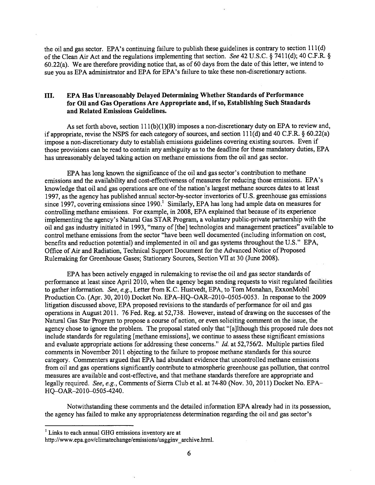the oil and gas sector. EPA's continuing failure to publish these guidelines is contrary to section 111(d) of the Clean Air Act and the regulations implementing that section. See 42 U.S.C. § 7411(d); 40 C.F.R. §  $60.22(a)$ . We are therefore providing notice that, as of 60 days from the date of this letter, we intend to sue you as EPA administrator and EPA for EPA's failure to take these non-discretionary actions.

# III. EPA Has Unreasonably Delayed Determining Whether Standards of Performance for Oil and Gas Operations Are Appropriate and, if so, Establishing Such Standards and Related Emissions Guidelines.

As set forth above, section  $111(b)(1)(B)$  imposes a non-discretionary duty on EPA to review and, if appropriate, revise the NSPS for each category of sources, and section 111(d) and <sup>40</sup> C.F.R. § 60.22(a) impose <sup>a</sup> non-discretionary duty to establish emissions guidelines covering existing sources. Even if those provisions can be read to contain any ambiguity as to the deadline for these mandatory duties, EPA has unreasonably delayed taking action on methane emissions from the oil and gas sector.

EPA has long known the significance of the oil and gas sector's contribution to methane emissions and the availability and cost-effectiveness of measures for reducing those emissions. EPA's knowledge that oil and gas operations are one of the nation's largest methane sources dates to at least 1997, as the agency has published annual sector-by-sector inventories of U.S. greenhouse gas emissions since 1997, covering emissions since 1990.<sup>1</sup> Similarly, EPA has long had ample data on measures for controlling methane emissions. For example, in 2008, EPA explained that because of its experience implementing the agency's Natural Gas STAR Program, <sup>a</sup> voluntary public-private partnership with the oil and gas industry initiated in 1993, "many of [the] technologies and managemen<sup>t</sup> practices" available to control methane emissions from the sector "have been well documented (including information on cost, benefits and reduction potential) and implemented in oil and gas systems throughout the U.S." EPA, Office of Air and Radiation, Technical Support Document for the Advanced Notice of Proposed Rulemaking for Greenhouse Gases; Stationary Sources, Section VII at 30 (June 2008).

EPA has been actively engaged in rulemaking to revise the oil and gas sector standards of performance at least since April 2010, when the agency began sending requests to visit regulated facilities to gather information. See, e.g., Letter from K.C. Hustvedt, EPA, to Tom Monahan, ExxonMobil Production Co. (Apr. 30, 2010) Docket No. EPA—HQ—OAR—2010—0505-0053. In response to the 2009 litigation discussed above, EPA proposed revisions to the standards of performance for oil and gas operations in August 2011. 76 Fed. Reg. at 52,738. However, instead of drawing on the successes of the Natural Gas Star Program to propose <sup>a</sup> course of action, or even soliciting comment on the issue, the agency chose to ignore the problem. The proposal stated only that "[a]lthough this proposed rule does not include standards for regulating [methane emissions], we continue to assess these significant emissions and evaluate appropriate actions for addressing these concerns." Id. at 52,756/2. Multiple parties filed comments in November 2011 objecting to the failure to propose methane standards for this source category. Commenters argued that EPA had abundant evidence that uncontrolled methane emissions from oil and gas operations significantly contribute to atmospheric greenhouse gas pollution, that control measures are available and cost-effective, and that methane standards therefore are appropriate and legally required. See, e.g., Comments of Sierra Club et al. at 74-80 (Nov. 30, 2011) Docket No. EPA-HQ-OAR-2010-0505-4240.

Notwithstanding these comments and the detailed information EPA already had in its possession, the agency has failed to make any appropriateness determination regarding the oil and gas sector's

 $1$  Links to each annual GHG emissions inventory are at

http://www.epa.gov/climatechange/emissions/usgginv archive.html.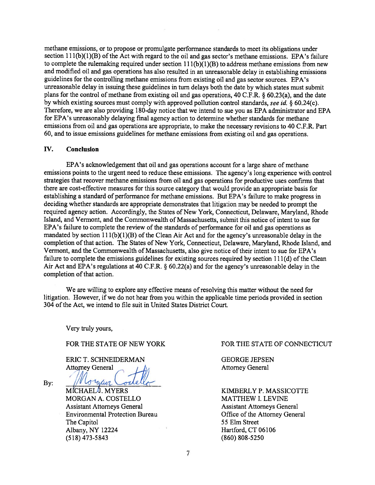methane emissions, or to propose or promulgate performance standards to meet its obligations under section 111(b)(1)(B) of the Act with regard to the oil and gas sector's methane emissions. EPA's failure to complete the rulemaking required under section  $111(b)(1)(B)$  to address methane emissions from new and modified oil and gas operations has also resulted in an unreasonable delay in establishing emissions guidelines for the controlling methane emissions from existing oil and gas sector sources. EPA's unreasonable delay in issuing these guidelines in turn delays both the date by which states must submit <sup>p</sup>lans for the control of methane from existing oil and gas operations, <sup>40</sup> C.F.R. § 60.23(a), and the date by which existing sources must comply with approved pollution control standards, see id. § 60.24(c). Therefore, we are also providing 180-day notice that we intend to sue you as EPA administrator and EPA for EPA's unreasonably delaying final agency action to determine whether standards for methane emissions from oil and gas operations are appropriate, to make the necessary revisions to 40 C.F.R. Part 60, and to issue emissions guidelines for methane emissions from existing oil and gas operations.

#### IV. Conclusion

EPA's acknowledgement that oil and gas operations account for <sup>a</sup> large share of methane emissions points to the urgen<sup>t</sup> need to reduce these emissions. The agency's long experience with control strategies that recover methane emissions from oil and gas operations for productive uses confirms that there are cost-effective measures for this source category that would provide an appropriate basis for establishing <sup>a</sup> standard of performance for methane emissions. But EPA's failure to make progress in deciding whether standards are appropriate demonstrates that litigation may be needed to promp<sup>t</sup> the required agency action. Accordingly, the States of New York, Connecticut, Delaware, Maryland, Rhode Island, and Vermont, and the Commonwealth of Massachusetts, submit this notice of intent to sue for EPA's failure to complete the review of the standards of performance for oil and gas operations as mandated by section  $111(b)(1)(B)$  of the Clean Air Act and for the agency's unreasonable delay in the completion of that action. The States of New York, Connecticut, Delaware, Maryland, Rhode Island, and Vermont, and the Commonwealth of Massachusetts, also give notice of their intent to sue for EPA's failure to complete the emissions guidelines for existing sources required by section 111(d) of the Clean Air Act and EPA's regulations at <sup>40</sup> C.F.R. § 60.22(a) and for the agency's unreasonable delay in the completion of that action.

We are willing to explore any effective means of resolving this matter without the need for litigation. However, if we do not hear from you within the applicable time periods provided in section 304 of the Act, we intend to file suit in United States District Court.

Very truly yours,

ERIC T. SCHNEIDERMAN GEORGE JEPSEN Attorney General Attorney General Attorney General

By:  $//V$   $or$   $440$ 

MORGAN A. COSTELLO MATTHEW I. LEVINE Assistant Attorneys General Assistant Attorneys General Assistant Attorneys General Environmental Protection Bureau Office of the Attorney General The Capitol 55 Elm Street Albany, NY 12224 Hartford, CT 06106 (518) 473-5843 (860) 808-5250

#### FOR THE STATE OF NEW YORK FOR THE STATE OF CONNECTICUT

MICHAEL<sup>1</sup>. MYERS KIMBERLY P. MASSICOTTE